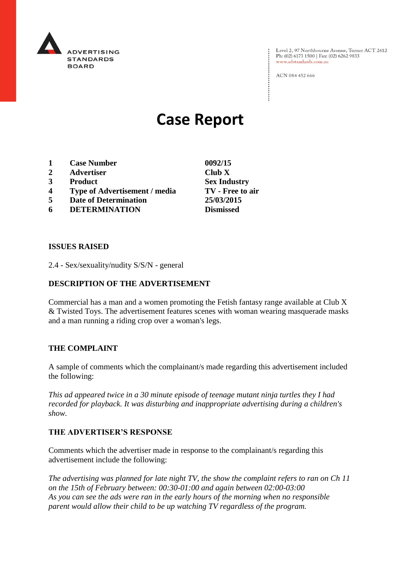

Level 2, 97 Northbourne Avenue, Turner ACT 2612<br>Ph: (02) 6173 1500 | Fax: (02) 6262 9833 www.adstandards.com.au

ACN 084 452 666

# **Case Report**

- **1 Case Number 0092/15**
- **2 Advertiser Club X**
- **3 Product Sex Industry**
- **4 Type of Advertisement / media TV - Free to air**
- **5 Date of Determination 25/03/2015**
- **6 DETERMINATION Dismissed**

**ISSUES RAISED**

2.4 - Sex/sexuality/nudity S/S/N - general

## **DESCRIPTION OF THE ADVERTISEMENT**

Commercial has a man and a women promoting the Fetish fantasy range available at Club X & Twisted Toys. The advertisement features scenes with woman wearing masquerade masks and a man running a riding crop over a woman's legs.

### **THE COMPLAINT**

A sample of comments which the complainant/s made regarding this advertisement included the following:

*This ad appeared twice in a 30 minute episode of teenage mutant ninja turtles they I had recorded for playback. It was disturbing and inappropriate advertising during a children's show.* 

### **THE ADVERTISER'S RESPONSE**

Comments which the advertiser made in response to the complainant/s regarding this advertisement include the following:

*The advertising was planned for late night TV, the show the complaint refers to ran on Ch 11 on the 15th of February between: 00:30-01:00 and again between 02:00-03:00 As you can see the ads were ran in the early hours of the morning when no responsible parent would allow their child to be up watching TV regardless of the program.*